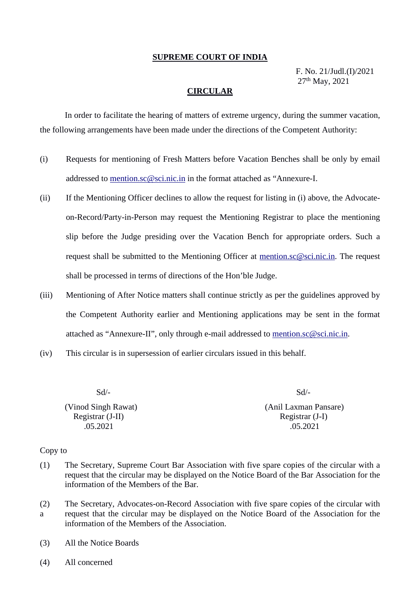#### **SUPREME COURT OF INDIA**

F. No. 21/Judl.(I)/2021 27th May, 2021

### **CIRCULAR**

In order to facilitate the hearing of matters of extreme urgency, during the summer vacation, the following arrangements have been made under the directions of the Competent Authority:

- (i) Requests for mentioning of Fresh Matters before Vacation Benches shall be only by email addressed to [mention.sc@sci.nic.in](mailto:mention.sc@sci.nic.in) in the format attached as "Annexure-I.
- (ii) If the Mentioning Officer declines to allow the request for listing in (i) above, the Advocateon-Record/Party-in-Person may request the Mentioning Registrar to place the mentioning slip before the Judge presiding over the Vacation Bench for appropriate orders. Such a request shall be submitted to the Mentioning Officer at [mention.sc@sci.nic.in.](mailto:mention.sc@sci.nic.in) The request shall be processed in terms of directions of the Hon'ble Judge.
- (iii) Mentioning of After Notice matters shall continue strictly as per the guidelines approved by the Competent Authority earlier and Mentioning applications may be sent in the format attached as "Annexure-II", only through e-mail addressed to [mention.sc@sci.nic.in.](mailto:mention.sc@sci.nic.in)
- (iv) This circular is in supersession of earlier circulars issued in this behalf.

| $Sd/-$              | $Sd/-$                |
|---------------------|-----------------------|
| (Vinod Singh Rawat) | (Anil Laxman Pansare) |
| Registrar (J-II)    | Registrar (J-I)       |
| .05.2021            | .05.2021              |
|                     |                       |

#### Copy to

- (1) The Secretary, Supreme Court Bar Association with five spare copies of the circular with a request that the circular may be displayed on the Notice Board of the Bar Association for the information of the Members of the Bar.
- (2) The Secretary, Advocates-on-Record Association with five spare copies of the circular with a request that the circular may be displayed on the Notice Board of the Association for the information of the Members of the Association.
- (3) All the Notice Boards
- (4) All concerned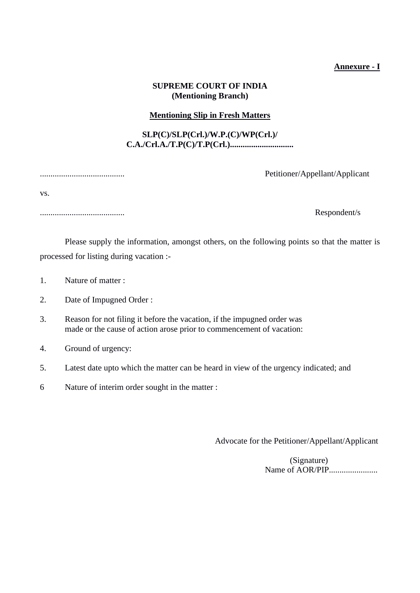## **Annexure - I**

# **SUPREME COURT OF INDIA (Mentioning Branch)**

## **Mentioning Slip in Fresh Matters**

# **SLP(C)/SLP(Crl.)/W.P.(C)/WP(Crl.)/ C.A./Crl.A./T.P(C)/T.P(Crl.)..............................**

vs.

........................................ Respondent/s

## ........................................ Petitioner/Appellant/Applicant

Please supply the information, amongst others, on the following points so that the matter is processed for listing during vacation :-

- 1. Nature of matter :
- 2. Date of Impugned Order :
- 3. Reason for not filing it before the vacation, if the impugned order was made or the cause of action arose prior to commencement of vacation:
- 4. Ground of urgency:
- 5. Latest date upto which the matter can be heard in view of the urgency indicated; and
- 6 Nature of interim order sought in the matter :

Advocate for the Petitioner/Appellant/Applicant

(Signature) Name of AOR/PIP.......................